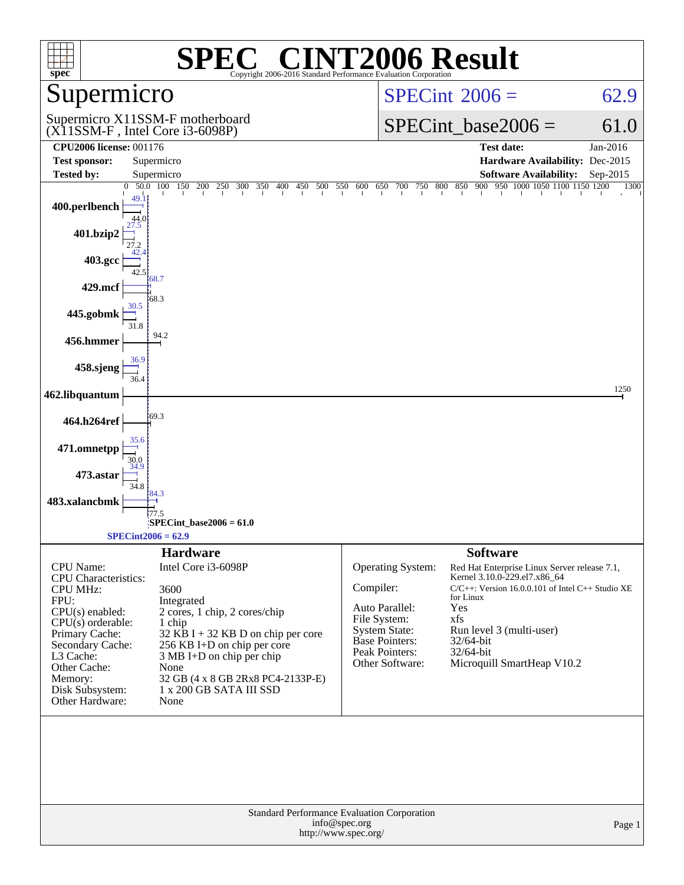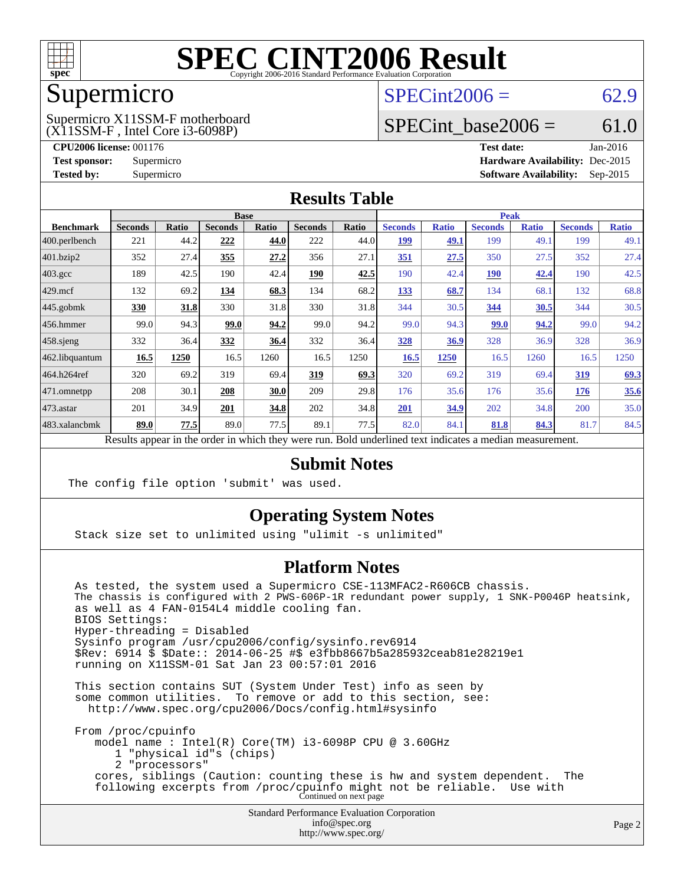

### Supermicro

(X11SSM-F , Intel Core i3-6098P) Supermicro X11SSM-F motherboard  $SPECint2006 = 62.9$  $SPECint2006 = 62.9$ 

### SPECint base2006 =  $61.0$

**[CPU2006 license:](http://www.spec.org/auto/cpu2006/Docs/result-fields.html#CPU2006license)** 001176 **[Test date:](http://www.spec.org/auto/cpu2006/Docs/result-fields.html#Testdate)** Jan-2016 **[Test sponsor:](http://www.spec.org/auto/cpu2006/Docs/result-fields.html#Testsponsor)** Supermicro **[Hardware Availability:](http://www.spec.org/auto/cpu2006/Docs/result-fields.html#HardwareAvailability)** Dec-2015 **[Tested by:](http://www.spec.org/auto/cpu2006/Docs/result-fields.html#Testedby)** Supermicro **Supermicro [Software Availability:](http://www.spec.org/auto/cpu2006/Docs/result-fields.html#SoftwareAvailability)** Sep-2015

#### **[Results Table](http://www.spec.org/auto/cpu2006/Docs/result-fields.html#ResultsTable)**

|                    | <b>Base</b>    |              |                |       |                | <b>Peak</b> |                |              |                |              |                |              |
|--------------------|----------------|--------------|----------------|-------|----------------|-------------|----------------|--------------|----------------|--------------|----------------|--------------|
| <b>Benchmark</b>   | <b>Seconds</b> | <b>Ratio</b> | <b>Seconds</b> | Ratio | <b>Seconds</b> | Ratio       | <b>Seconds</b> | <b>Ratio</b> | <b>Seconds</b> | <b>Ratio</b> | <b>Seconds</b> | <b>Ratio</b> |
| 400.perlbench      | 221            | 44.2         | 222            | 44.0  | 222            | 44.0        | 199            | 49.1         | 199            | 49.1         | 199            | 49.1         |
| 401.bzip2          | 352            | 27.4         | 355            | 27.2  | 356            | 27.1        | 351            | 27.5         | 350            | 27.5         | 352            | 27.4         |
| $403.\mathrm{gcc}$ | 189            | 42.5         | 190            | 42.4  | <u>190</u>     | 42.5        | 190            | 42.4         | <u>190</u>     | 42.4         | 190            | 42.5         |
| $429$ mcf          | 132            | 69.2         | 134            | 68.3  | 134            | 68.2        | 133            | 68.7         | 134            | 68.1         | 132            | 68.8         |
| $445$ .gobmk       | 330            | 31.8         | 330            | 31.8  | 330            | 31.8        | 344            | 30.5         | 344            | 30.5         | 344            | 30.5         |
| $456.$ hmmer       | 99.0           | 94.3         | 99.0           | 94.2  | 99.0           | 94.2        | 99.0           | 94.3         | 99.0           | 94.2         | 99.0           | 94.2         |
| $458$ .sjeng       | 332            | 36.4         | 332            | 36.4  | 332            | 36.4        | <b>328</b>     | 36.9         | 328            | 36.9         | 328            | 36.9         |
| 462.libquantum     | 16.5           | 1250         | 16.5           | 1260  | 16.5           | 1250        | 16.5           | <b>1250</b>  | 16.5           | 1260         | 16.5           | 1250         |
| 464.h264ref        | 320            | 69.2         | 319            | 69.4  | 319            | 69.3        | 320            | 69.2         | 319            | 69.4         | <u>319</u>     | 69.3         |
| 471.omnetpp        | 208            | 30.1         | 208            | 30.0  | 209            | 29.8        | 176            | 35.6         | 176            | 35.6         | 176            | 35.6         |
| $473$ . astar      | 201            | 34.9         | 201            | 34.8  | 202            | 34.8        | 201            | 34.9         | 202            | 34.8         | 200            | 35.0         |
| 483.xalancbmk      | 89.0           | 77.5         | 89.0           | 77.5  | 89.1           | 77.5        | 82.0           | 84.1         | 81.8           | 84.3         | 81.7           | 84.5         |

Results appear in the [order in which they were run.](http://www.spec.org/auto/cpu2006/Docs/result-fields.html#RunOrder) Bold underlined text [indicates a median measurement.](http://www.spec.org/auto/cpu2006/Docs/result-fields.html#Median)

### **[Submit Notes](http://www.spec.org/auto/cpu2006/Docs/result-fields.html#SubmitNotes)**

The config file option 'submit' was used.

### **[Operating System Notes](http://www.spec.org/auto/cpu2006/Docs/result-fields.html#OperatingSystemNotes)**

Stack size set to unlimited using "ulimit -s unlimited"

### **[Platform Notes](http://www.spec.org/auto/cpu2006/Docs/result-fields.html#PlatformNotes)**

 As tested, the system used a Supermicro CSE-113MFAC2-R606CB chassis. The chassis is configured with 2 PWS-606P-1R redundant power supply, 1 SNK-P0046P heatsink, as well as 4 FAN-0154L4 middle cooling fan. BIOS Settings: Hyper-threading = Disabled Sysinfo program /usr/cpu2006/config/sysinfo.rev6914 \$Rev: 6914 \$ \$Date:: 2014-06-25 #\$ e3fbb8667b5a285932ceab81e28219e1 running on X11SSM-01 Sat Jan 23 00:57:01 2016 This section contains SUT (System Under Test) info as seen by some common utilities. To remove or add to this section, see: <http://www.spec.org/cpu2006/Docs/config.html#sysinfo> From /proc/cpuinfo model name : Intel(R) Core(TM) i3-6098P CPU @ 3.60GHz

1 "physical id"s (chips)

2 "processors"

 cores, siblings (Caution: counting these is hw and system dependent. The following excerpts from /proc/cpuinfo might not be reliable. Use with Continued on next page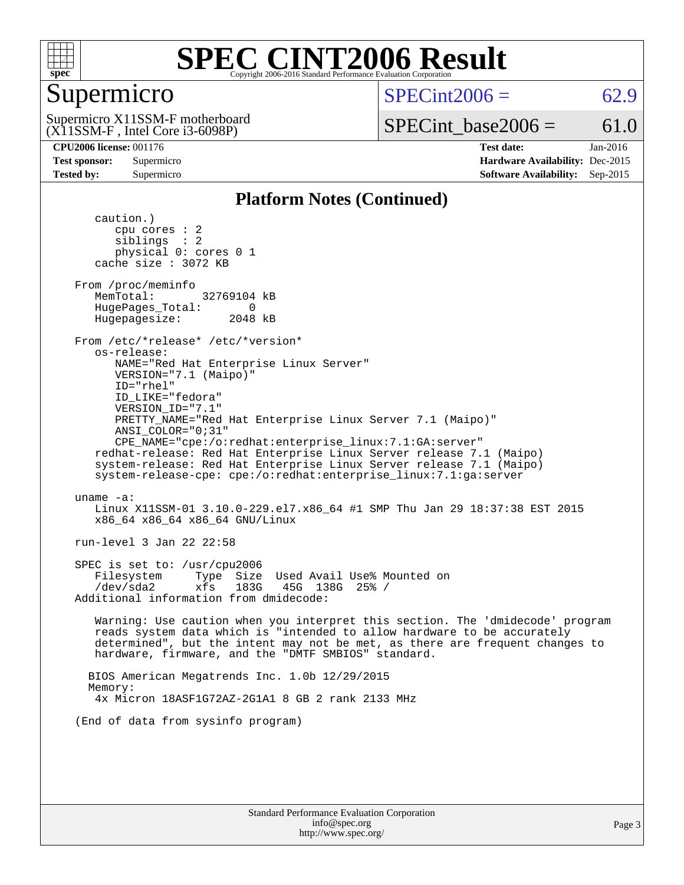

### Supermicro

 $SPECint2006 = 62.9$  $SPECint2006 = 62.9$ 

(X11SSM-F , Intel Core i3-6098P) Supermicro X11SSM-F motherboard SPECint base2006 =  $61.0$ 

**[CPU2006 license:](http://www.spec.org/auto/cpu2006/Docs/result-fields.html#CPU2006license)** 001176 **[Test date:](http://www.spec.org/auto/cpu2006/Docs/result-fields.html#Testdate)** Jan-2016 **[Test sponsor:](http://www.spec.org/auto/cpu2006/Docs/result-fields.html#Testsponsor)** Supermicro **[Hardware Availability:](http://www.spec.org/auto/cpu2006/Docs/result-fields.html#HardwareAvailability)** Dec-2015 **[Tested by:](http://www.spec.org/auto/cpu2006/Docs/result-fields.html#Testedby)** Supermicro **Supermicro [Software Availability:](http://www.spec.org/auto/cpu2006/Docs/result-fields.html#SoftwareAvailability)** Sep-2015

#### **[Platform Notes \(Continued\)](http://www.spec.org/auto/cpu2006/Docs/result-fields.html#PlatformNotes)**

 caution.) cpu cores : 2 siblings : 2 physical 0: cores 0 1 cache size : 3072 KB From /proc/meminfo MemTotal: 32769104 kB HugePages\_Total: 0<br>Hugepagesize: 2048 kB Hugepagesize: From /etc/\*release\* /etc/\*version\* os-release: NAME="Red Hat Enterprise Linux Server" VERSION="7.1 (Maipo)" ID="rhel" ID\_LIKE="fedora" VERSION\_ID="7.1" PRETTY\_NAME="Red Hat Enterprise Linux Server 7.1 (Maipo)" ANSI\_COLOR="0;31" CPE\_NAME="cpe:/o:redhat:enterprise\_linux:7.1:GA:server" redhat-release: Red Hat Enterprise Linux Server release 7.1 (Maipo) system-release: Red Hat Enterprise Linux Server release 7.1 (Maipo) system-release-cpe: cpe:/o:redhat:enterprise\_linux:7.1:ga:server uname -a: Linux X11SSM-01 3.10.0-229.el7.x86\_64 #1 SMP Thu Jan 29 18:37:38 EST 2015 x86\_64 x86\_64 x86\_64 GNU/Linux run-level 3 Jan 22 22:58 SPEC is set to: /usr/cpu2006 Filesystem Type Size Used Avail Use% Mounted on /dev/sda2 xfs 183G 45G 138G 25% / Additional information from dmidecode: Warning: Use caution when you interpret this section. The 'dmidecode' program reads system data which is "intended to allow hardware to be accurately determined", but the intent may not be met, as there are frequent changes to hardware, firmware, and the "DMTF SMBIOS" standard. BIOS American Megatrends Inc. 1.0b 12/29/2015 Memory: 4x Micron 18ASF1G72AZ-2G1A1 8 GB 2 rank 2133 MHz (End of data from sysinfo program)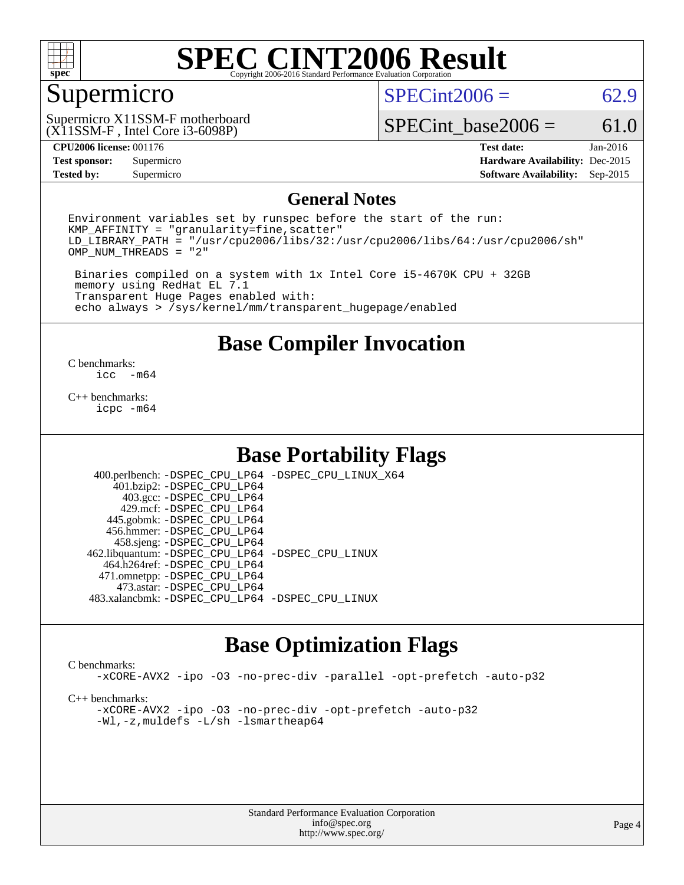

### Supermicro

 $SPECint2006 = 62.9$  $SPECint2006 = 62.9$ 

(X11SSM-F , Intel Core i3-6098P) Supermicro X11SSM-F motherboard

SPECint base2006 =  $61.0$ 

**[Tested by:](http://www.spec.org/auto/cpu2006/Docs/result-fields.html#Testedby)** Supermicro **Supermicro [Software Availability:](http://www.spec.org/auto/cpu2006/Docs/result-fields.html#SoftwareAvailability)** Sep-2015

**[CPU2006 license:](http://www.spec.org/auto/cpu2006/Docs/result-fields.html#CPU2006license)** 001176 **[Test date:](http://www.spec.org/auto/cpu2006/Docs/result-fields.html#Testdate)** Jan-2016 **[Test sponsor:](http://www.spec.org/auto/cpu2006/Docs/result-fields.html#Testsponsor)** Supermicro **[Hardware Availability:](http://www.spec.org/auto/cpu2006/Docs/result-fields.html#HardwareAvailability)** Dec-2015

#### **[General Notes](http://www.spec.org/auto/cpu2006/Docs/result-fields.html#GeneralNotes)**

Environment variables set by runspec before the start of the run:  $KMP$  AFFINITY = "granularity=fine, scatter" LD\_LIBRARY\_PATH = "/usr/cpu2006/libs/32:/usr/cpu2006/libs/64:/usr/cpu2006/sh" OMP\_NUM\_THREADS = "2"

 Binaries compiled on a system with 1x Intel Core i5-4670K CPU + 32GB memory using RedHat EL 7.1 Transparent Huge Pages enabled with: echo always > /sys/kernel/mm/transparent\_hugepage/enabled

**[Base Compiler Invocation](http://www.spec.org/auto/cpu2006/Docs/result-fields.html#BaseCompilerInvocation)**

 $\frac{C \text{ benchmarks:}}{C \text{ C}}$ -m64

[C++ benchmarks:](http://www.spec.org/auto/cpu2006/Docs/result-fields.html#CXXbenchmarks) [icpc -m64](http://www.spec.org/cpu2006/results/res2016q1/cpu2006-20160125-38948.flags.html#user_CXXbase_intel_icpc_64bit_fc66a5337ce925472a5c54ad6a0de310)

### **[Base Portability Flags](http://www.spec.org/auto/cpu2006/Docs/result-fields.html#BasePortabilityFlags)**

 400.perlbench: [-DSPEC\\_CPU\\_LP64](http://www.spec.org/cpu2006/results/res2016q1/cpu2006-20160125-38948.flags.html#b400.perlbench_basePORTABILITY_DSPEC_CPU_LP64) [-DSPEC\\_CPU\\_LINUX\\_X64](http://www.spec.org/cpu2006/results/res2016q1/cpu2006-20160125-38948.flags.html#b400.perlbench_baseCPORTABILITY_DSPEC_CPU_LINUX_X64) 401.bzip2: [-DSPEC\\_CPU\\_LP64](http://www.spec.org/cpu2006/results/res2016q1/cpu2006-20160125-38948.flags.html#suite_basePORTABILITY401_bzip2_DSPEC_CPU_LP64) 403.gcc: [-DSPEC\\_CPU\\_LP64](http://www.spec.org/cpu2006/results/res2016q1/cpu2006-20160125-38948.flags.html#suite_basePORTABILITY403_gcc_DSPEC_CPU_LP64) 429.mcf: [-DSPEC\\_CPU\\_LP64](http://www.spec.org/cpu2006/results/res2016q1/cpu2006-20160125-38948.flags.html#suite_basePORTABILITY429_mcf_DSPEC_CPU_LP64) 445.gobmk: [-DSPEC\\_CPU\\_LP64](http://www.spec.org/cpu2006/results/res2016q1/cpu2006-20160125-38948.flags.html#suite_basePORTABILITY445_gobmk_DSPEC_CPU_LP64) 456.hmmer: [-DSPEC\\_CPU\\_LP64](http://www.spec.org/cpu2006/results/res2016q1/cpu2006-20160125-38948.flags.html#suite_basePORTABILITY456_hmmer_DSPEC_CPU_LP64) 458.sjeng: [-DSPEC\\_CPU\\_LP64](http://www.spec.org/cpu2006/results/res2016q1/cpu2006-20160125-38948.flags.html#suite_basePORTABILITY458_sjeng_DSPEC_CPU_LP64) 462.libquantum: [-DSPEC\\_CPU\\_LP64](http://www.spec.org/cpu2006/results/res2016q1/cpu2006-20160125-38948.flags.html#suite_basePORTABILITY462_libquantum_DSPEC_CPU_LP64) [-DSPEC\\_CPU\\_LINUX](http://www.spec.org/cpu2006/results/res2016q1/cpu2006-20160125-38948.flags.html#b462.libquantum_baseCPORTABILITY_DSPEC_CPU_LINUX) 464.h264ref: [-DSPEC\\_CPU\\_LP64](http://www.spec.org/cpu2006/results/res2016q1/cpu2006-20160125-38948.flags.html#suite_basePORTABILITY464_h264ref_DSPEC_CPU_LP64) 471.omnetpp: [-DSPEC\\_CPU\\_LP64](http://www.spec.org/cpu2006/results/res2016q1/cpu2006-20160125-38948.flags.html#suite_basePORTABILITY471_omnetpp_DSPEC_CPU_LP64) 473.astar: [-DSPEC\\_CPU\\_LP64](http://www.spec.org/cpu2006/results/res2016q1/cpu2006-20160125-38948.flags.html#suite_basePORTABILITY473_astar_DSPEC_CPU_LP64) 483.xalancbmk: [-DSPEC\\_CPU\\_LP64](http://www.spec.org/cpu2006/results/res2016q1/cpu2006-20160125-38948.flags.html#suite_basePORTABILITY483_xalancbmk_DSPEC_CPU_LP64) [-DSPEC\\_CPU\\_LINUX](http://www.spec.org/cpu2006/results/res2016q1/cpu2006-20160125-38948.flags.html#b483.xalancbmk_baseCXXPORTABILITY_DSPEC_CPU_LINUX)

### **[Base Optimization Flags](http://www.spec.org/auto/cpu2006/Docs/result-fields.html#BaseOptimizationFlags)**

#### [C benchmarks](http://www.spec.org/auto/cpu2006/Docs/result-fields.html#Cbenchmarks):

[-xCORE-AVX2](http://www.spec.org/cpu2006/results/res2016q1/cpu2006-20160125-38948.flags.html#user_CCbase_f-xAVX2_5f5fc0cbe2c9f62c816d3e45806c70d7) [-ipo](http://www.spec.org/cpu2006/results/res2016q1/cpu2006-20160125-38948.flags.html#user_CCbase_f-ipo) [-O3](http://www.spec.org/cpu2006/results/res2016q1/cpu2006-20160125-38948.flags.html#user_CCbase_f-O3) [-no-prec-div](http://www.spec.org/cpu2006/results/res2016q1/cpu2006-20160125-38948.flags.html#user_CCbase_f-no-prec-div) [-parallel](http://www.spec.org/cpu2006/results/res2016q1/cpu2006-20160125-38948.flags.html#user_CCbase_f-parallel) [-opt-prefetch](http://www.spec.org/cpu2006/results/res2016q1/cpu2006-20160125-38948.flags.html#user_CCbase_f-opt-prefetch) [-auto-p32](http://www.spec.org/cpu2006/results/res2016q1/cpu2006-20160125-38948.flags.html#user_CCbase_f-auto-p32)

[C++ benchmarks:](http://www.spec.org/auto/cpu2006/Docs/result-fields.html#CXXbenchmarks)

[-xCORE-AVX2](http://www.spec.org/cpu2006/results/res2016q1/cpu2006-20160125-38948.flags.html#user_CXXbase_f-xAVX2_5f5fc0cbe2c9f62c816d3e45806c70d7) [-ipo](http://www.spec.org/cpu2006/results/res2016q1/cpu2006-20160125-38948.flags.html#user_CXXbase_f-ipo) [-O3](http://www.spec.org/cpu2006/results/res2016q1/cpu2006-20160125-38948.flags.html#user_CXXbase_f-O3) [-no-prec-div](http://www.spec.org/cpu2006/results/res2016q1/cpu2006-20160125-38948.flags.html#user_CXXbase_f-no-prec-div) [-opt-prefetch](http://www.spec.org/cpu2006/results/res2016q1/cpu2006-20160125-38948.flags.html#user_CXXbase_f-opt-prefetch) [-auto-p32](http://www.spec.org/cpu2006/results/res2016q1/cpu2006-20160125-38948.flags.html#user_CXXbase_f-auto-p32) [-Wl,-z,muldefs](http://www.spec.org/cpu2006/results/res2016q1/cpu2006-20160125-38948.flags.html#user_CXXbase_link_force_multiple1_74079c344b956b9658436fd1b6dd3a8a) [-L/sh -lsmartheap64](http://www.spec.org/cpu2006/results/res2016q1/cpu2006-20160125-38948.flags.html#user_CXXbase_SmartHeap64_ed4ef857ce90951921efb0d91eb88472)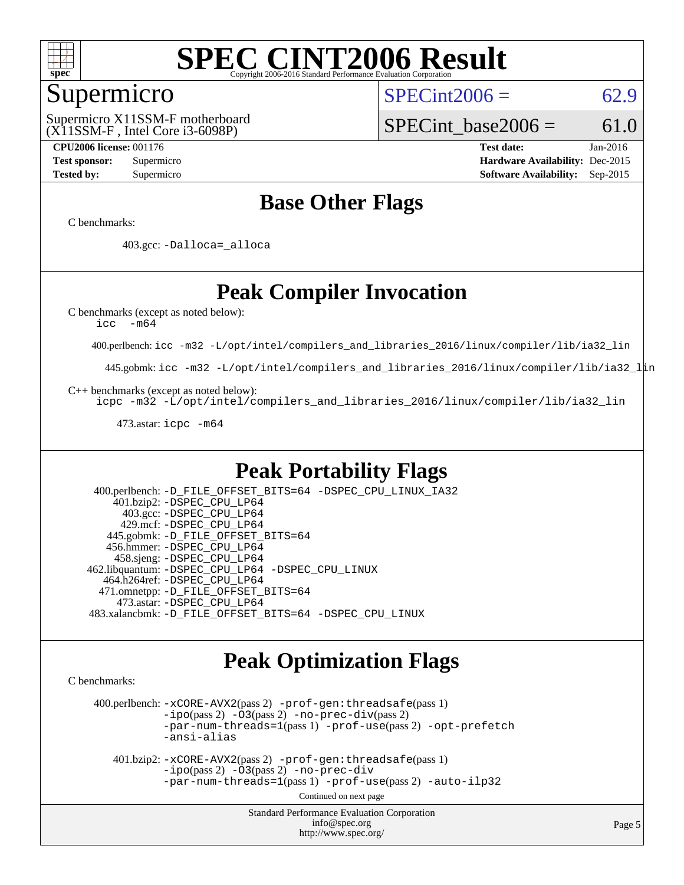

### Supermicro

(X11SSM-F , Intel Core i3-6098P) Supermicro X11SSM-F motherboard  $SPECint2006 = 62.9$  $SPECint2006 = 62.9$ 

SPECint base2006 =  $61.0$ 

**[CPU2006 license:](http://www.spec.org/auto/cpu2006/Docs/result-fields.html#CPU2006license)** 001176 **[Test date:](http://www.spec.org/auto/cpu2006/Docs/result-fields.html#Testdate)** Jan-2016 **[Test sponsor:](http://www.spec.org/auto/cpu2006/Docs/result-fields.html#Testsponsor)** Supermicro **[Hardware Availability:](http://www.spec.org/auto/cpu2006/Docs/result-fields.html#HardwareAvailability)** Dec-2015 **[Tested by:](http://www.spec.org/auto/cpu2006/Docs/result-fields.html#Testedby)** Supermicro **Supermicro [Software Availability:](http://www.spec.org/auto/cpu2006/Docs/result-fields.html#SoftwareAvailability)** Sep-2015

### **[Base Other Flags](http://www.spec.org/auto/cpu2006/Docs/result-fields.html#BaseOtherFlags)**

[C benchmarks](http://www.spec.org/auto/cpu2006/Docs/result-fields.html#Cbenchmarks):

403.gcc: [-Dalloca=\\_alloca](http://www.spec.org/cpu2006/results/res2016q1/cpu2006-20160125-38948.flags.html#b403.gcc_baseEXTRA_CFLAGS_Dalloca_be3056838c12de2578596ca5467af7f3)

### **[Peak Compiler Invocation](http://www.spec.org/auto/cpu2006/Docs/result-fields.html#PeakCompilerInvocation)**

[C benchmarks \(except as noted below\)](http://www.spec.org/auto/cpu2006/Docs/result-fields.html#Cbenchmarksexceptasnotedbelow):

[icc -m64](http://www.spec.org/cpu2006/results/res2016q1/cpu2006-20160125-38948.flags.html#user_CCpeak_intel_icc_64bit_f346026e86af2a669e726fe758c88044)

400.perlbench: [icc -m32 -L/opt/intel/compilers\\_and\\_libraries\\_2016/linux/compiler/lib/ia32\\_lin](http://www.spec.org/cpu2006/results/res2016q1/cpu2006-20160125-38948.flags.html#user_peakCCLD400_perlbench_intel_icc_e10256ba5924b668798078a321b0cb3f)

445.gobmk: [icc -m32 -L/opt/intel/compilers\\_and\\_libraries\\_2016/linux/compiler/lib/ia32\\_lin](http://www.spec.org/cpu2006/results/res2016q1/cpu2006-20160125-38948.flags.html#user_peakCCLD445_gobmk_intel_icc_e10256ba5924b668798078a321b0cb3f)

[C++ benchmarks \(except as noted below\):](http://www.spec.org/auto/cpu2006/Docs/result-fields.html#CXXbenchmarksexceptasnotedbelow)

[icpc -m32 -L/opt/intel/compilers\\_and\\_libraries\\_2016/linux/compiler/lib/ia32\\_lin](http://www.spec.org/cpu2006/results/res2016q1/cpu2006-20160125-38948.flags.html#user_CXXpeak_intel_icpc_b4f50a394bdb4597aa5879c16bc3f5c5)

473.astar: [icpc -m64](http://www.spec.org/cpu2006/results/res2016q1/cpu2006-20160125-38948.flags.html#user_peakCXXLD473_astar_intel_icpc_64bit_fc66a5337ce925472a5c54ad6a0de310)

### **[Peak Portability Flags](http://www.spec.org/auto/cpu2006/Docs/result-fields.html#PeakPortabilityFlags)**

 400.perlbench: [-D\\_FILE\\_OFFSET\\_BITS=64](http://www.spec.org/cpu2006/results/res2016q1/cpu2006-20160125-38948.flags.html#user_peakPORTABILITY400_perlbench_file_offset_bits_64_438cf9856305ebd76870a2c6dc2689ab) [-DSPEC\\_CPU\\_LINUX\\_IA32](http://www.spec.org/cpu2006/results/res2016q1/cpu2006-20160125-38948.flags.html#b400.perlbench_peakCPORTABILITY_DSPEC_CPU_LINUX_IA32) 401.bzip2: [-DSPEC\\_CPU\\_LP64](http://www.spec.org/cpu2006/results/res2016q1/cpu2006-20160125-38948.flags.html#suite_peakPORTABILITY401_bzip2_DSPEC_CPU_LP64) 403.gcc: [-DSPEC\\_CPU\\_LP64](http://www.spec.org/cpu2006/results/res2016q1/cpu2006-20160125-38948.flags.html#suite_peakPORTABILITY403_gcc_DSPEC_CPU_LP64) 429.mcf: [-DSPEC\\_CPU\\_LP64](http://www.spec.org/cpu2006/results/res2016q1/cpu2006-20160125-38948.flags.html#suite_peakPORTABILITY429_mcf_DSPEC_CPU_LP64) 445.gobmk: [-D\\_FILE\\_OFFSET\\_BITS=64](http://www.spec.org/cpu2006/results/res2016q1/cpu2006-20160125-38948.flags.html#user_peakPORTABILITY445_gobmk_file_offset_bits_64_438cf9856305ebd76870a2c6dc2689ab) 456.hmmer: [-DSPEC\\_CPU\\_LP64](http://www.spec.org/cpu2006/results/res2016q1/cpu2006-20160125-38948.flags.html#suite_peakPORTABILITY456_hmmer_DSPEC_CPU_LP64) 458.sjeng: [-DSPEC\\_CPU\\_LP64](http://www.spec.org/cpu2006/results/res2016q1/cpu2006-20160125-38948.flags.html#suite_peakPORTABILITY458_sjeng_DSPEC_CPU_LP64) 462.libquantum: [-DSPEC\\_CPU\\_LP64](http://www.spec.org/cpu2006/results/res2016q1/cpu2006-20160125-38948.flags.html#suite_peakPORTABILITY462_libquantum_DSPEC_CPU_LP64) [-DSPEC\\_CPU\\_LINUX](http://www.spec.org/cpu2006/results/res2016q1/cpu2006-20160125-38948.flags.html#b462.libquantum_peakCPORTABILITY_DSPEC_CPU_LINUX) 464.h264ref: [-DSPEC\\_CPU\\_LP64](http://www.spec.org/cpu2006/results/res2016q1/cpu2006-20160125-38948.flags.html#suite_peakPORTABILITY464_h264ref_DSPEC_CPU_LP64) 471.omnetpp: [-D\\_FILE\\_OFFSET\\_BITS=64](http://www.spec.org/cpu2006/results/res2016q1/cpu2006-20160125-38948.flags.html#user_peakPORTABILITY471_omnetpp_file_offset_bits_64_438cf9856305ebd76870a2c6dc2689ab) 473.astar: [-DSPEC\\_CPU\\_LP64](http://www.spec.org/cpu2006/results/res2016q1/cpu2006-20160125-38948.flags.html#suite_peakPORTABILITY473_astar_DSPEC_CPU_LP64) 483.xalancbmk: [-D\\_FILE\\_OFFSET\\_BITS=64](http://www.spec.org/cpu2006/results/res2016q1/cpu2006-20160125-38948.flags.html#user_peakPORTABILITY483_xalancbmk_file_offset_bits_64_438cf9856305ebd76870a2c6dc2689ab) [-DSPEC\\_CPU\\_LINUX](http://www.spec.org/cpu2006/results/res2016q1/cpu2006-20160125-38948.flags.html#b483.xalancbmk_peakCXXPORTABILITY_DSPEC_CPU_LINUX)

### **[Peak Optimization Flags](http://www.spec.org/auto/cpu2006/Docs/result-fields.html#PeakOptimizationFlags)**

[C benchmarks](http://www.spec.org/auto/cpu2006/Docs/result-fields.html#Cbenchmarks):

 400.perlbench: [-xCORE-AVX2](http://www.spec.org/cpu2006/results/res2016q1/cpu2006-20160125-38948.flags.html#user_peakPASS2_CFLAGSPASS2_LDCFLAGS400_perlbench_f-xAVX2_5f5fc0cbe2c9f62c816d3e45806c70d7)(pass 2) [-prof-gen:threadsafe](http://www.spec.org/cpu2006/results/res2016q1/cpu2006-20160125-38948.flags.html#user_peakPASS1_CFLAGSPASS1_LDCFLAGS400_perlbench_prof_gen_21a26eb79f378b550acd7bec9fe4467a)(pass 1)  $-i\text{po}(pass 2) -\tilde{O}3(pass 2)$  [-no-prec-div](http://www.spec.org/cpu2006/results/res2016q1/cpu2006-20160125-38948.flags.html#user_peakPASS2_CFLAGSPASS2_LDCFLAGS400_perlbench_f-no-prec-div)(pass 2) [-par-num-threads=1](http://www.spec.org/cpu2006/results/res2016q1/cpu2006-20160125-38948.flags.html#user_peakPASS1_CFLAGSPASS1_LDCFLAGS400_perlbench_par_num_threads_786a6ff141b4e9e90432e998842df6c2)(pass 1) [-prof-use](http://www.spec.org/cpu2006/results/res2016q1/cpu2006-20160125-38948.flags.html#user_peakPASS2_CFLAGSPASS2_LDCFLAGS400_perlbench_prof_use_bccf7792157ff70d64e32fe3e1250b55)(pass 2) [-opt-prefetch](http://www.spec.org/cpu2006/results/res2016q1/cpu2006-20160125-38948.flags.html#user_peakCOPTIMIZE400_perlbench_f-opt-prefetch) [-ansi-alias](http://www.spec.org/cpu2006/results/res2016q1/cpu2006-20160125-38948.flags.html#user_peakCOPTIMIZE400_perlbench_f-ansi-alias)

 401.bzip2: [-xCORE-AVX2](http://www.spec.org/cpu2006/results/res2016q1/cpu2006-20160125-38948.flags.html#user_peakPASS2_CFLAGSPASS2_LDCFLAGS401_bzip2_f-xAVX2_5f5fc0cbe2c9f62c816d3e45806c70d7)(pass 2) [-prof-gen:threadsafe](http://www.spec.org/cpu2006/results/res2016q1/cpu2006-20160125-38948.flags.html#user_peakPASS1_CFLAGSPASS1_LDCFLAGS401_bzip2_prof_gen_21a26eb79f378b550acd7bec9fe4467a)(pass 1)  $-i\text{po}(pass 2) -\overline{O}3(pass 2)$  [-no-prec-div](http://www.spec.org/cpu2006/results/res2016q1/cpu2006-20160125-38948.flags.html#user_peakCOPTIMIZEPASS2_CFLAGSPASS2_LDCFLAGS401_bzip2_f-no-prec-div) [-par-num-threads=1](http://www.spec.org/cpu2006/results/res2016q1/cpu2006-20160125-38948.flags.html#user_peakPASS1_CFLAGSPASS1_LDCFLAGS401_bzip2_par_num_threads_786a6ff141b4e9e90432e998842df6c2)(pass 1) [-prof-use](http://www.spec.org/cpu2006/results/res2016q1/cpu2006-20160125-38948.flags.html#user_peakPASS2_CFLAGSPASS2_LDCFLAGS401_bzip2_prof_use_bccf7792157ff70d64e32fe3e1250b55)(pass 2) [-auto-ilp32](http://www.spec.org/cpu2006/results/res2016q1/cpu2006-20160125-38948.flags.html#user_peakCOPTIMIZE401_bzip2_f-auto-ilp32)

Continued on next page

Standard Performance Evaluation Corporation [info@spec.org](mailto:info@spec.org) <http://www.spec.org/>

Page 5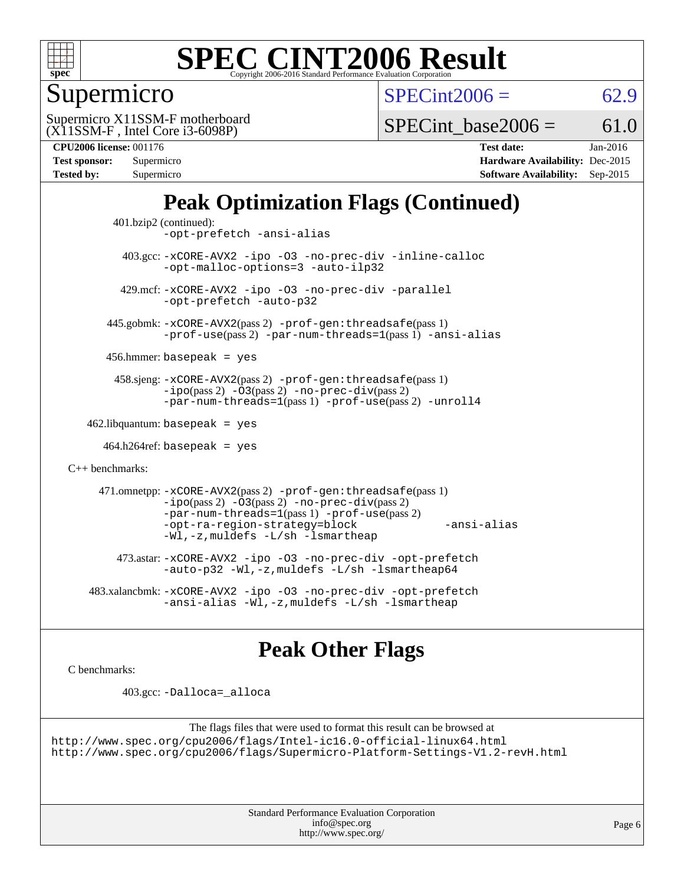

### Supermicro

 $SPECint2006 = 62.9$  $SPECint2006 = 62.9$ 

(X11SSM-F , Intel Core i3-6098P) Supermicro X11SSM-F motherboard

SPECint base2006 =  $61.0$ 

| Test sponsor:     | Supermicro |
|-------------------|------------|
| <b>Tested by:</b> | Supermicro |

**[CPU2006 license:](http://www.spec.org/auto/cpu2006/Docs/result-fields.html#CPU2006license)** 001176 **[Test date:](http://www.spec.org/auto/cpu2006/Docs/result-fields.html#Testdate)** Jan-2016 **[Hardware Availability:](http://www.spec.org/auto/cpu2006/Docs/result-fields.html#HardwareAvailability)** Dec-2015 **[Software Availability:](http://www.spec.org/auto/cpu2006/Docs/result-fields.html#SoftwareAvailability)** Sep-2015

### **[Peak Optimization Flags \(Continued\)](http://www.spec.org/auto/cpu2006/Docs/result-fields.html#PeakOptimizationFlags)**

```
 401.bzip2 (continued):
                -opt-prefetch -ansi-alias
          403.gcc: -xCORE-AVX2 -ipo -O3 -no-prec-div -inline-calloc
                -opt-malloc-options=3 -auto-ilp32
         429.mcf: -xCORE-AVX2 -ipo -O3 -no-prec-div -parallel
                -opt-prefetch -auto-p32
       445.gobmk: -xCORE-AVX2(pass 2) -prof-gen:threadsafe(pass 1)
                -prof-use(pass 2) -par-num-threads=1(pass 1) -ansi-alias
       456.hmmer: basepeak = yes
        458.sjeng: -xCORE-AVX2(pass 2) -prof-gen:threadsafe(pass 1)
                -i\text{po}(pass 2) -\tilde{O}3(pass 2)-no-prec-div(pass 2)
                -par-num-threads=1(pass 1) -prof-use(pass 2) -unroll4
   462.libquantum: basepeak = yes
     464.h264ref: basepeak = yes
C++ benchmarks: 
      471.omnetpp: -xCORE-AVX2(pass 2) -prof-gen:threadsafe(pass 1)
                -i\text{po}(pass 2) -\overline{O}3(pass 2) -no-\overline{prec}\-div(pass 2)-par-num-threads=1(pass 1) -prof-use(pass 2)
                -opt-ra-region-strategy=block -ansi-alias
                -Wl,-z,muldefs -L/sh -lsmartheap
         473.astar: -xCORE-AVX2 -ipo -O3 -no-prec-div -opt-prefetch
                -auto-p32 -Wl,-z,muldefs -L/sh -lsmartheap64
    483.xalancbmk: -xCORE-AVX2 -ipo -O3 -no-prec-div -opt-prefetch
                -ansi-alias-L/sh -lsmartheap
```
### **[Peak Other Flags](http://www.spec.org/auto/cpu2006/Docs/result-fields.html#PeakOtherFlags)**

[C benchmarks](http://www.spec.org/auto/cpu2006/Docs/result-fields.html#Cbenchmarks):

403.gcc: [-Dalloca=\\_alloca](http://www.spec.org/cpu2006/results/res2016q1/cpu2006-20160125-38948.flags.html#b403.gcc_peakEXTRA_CFLAGS_Dalloca_be3056838c12de2578596ca5467af7f3)

```
The flags files that were used to format this result can be browsed at
http://www.spec.org/cpu2006/flags/Intel-ic16.0-official-linux64.html
http://www.spec.org/cpu2006/flags/Supermicro-Platform-Settings-V1.2-revH.html
```